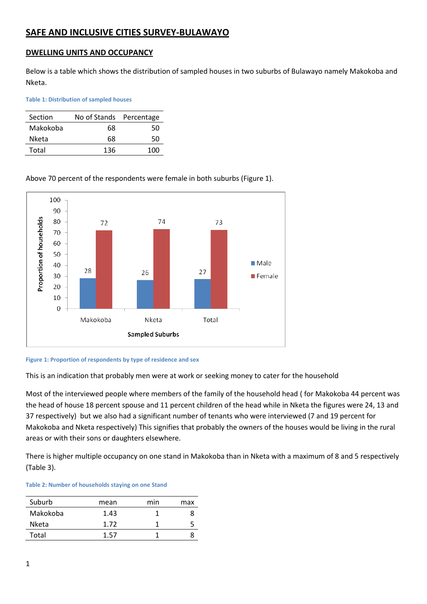# **SAFE AND INCLUSIVE CITIES SURVEY-BULAWAYO**

## **DWELLING UNITS AND OCCUPANCY**

Below is a table which shows the distribution of sampled houses in two suburbs of Bulawayo namely Makokoba and Nketa.

**Table 1: Distribution of sampled houses**

| Section  | No of Stands Percentage |     |  |
|----------|-------------------------|-----|--|
| Makokoba | 68                      | 50  |  |
| Nketa    | 68                      | 50  |  |
| Total    | 136                     | 100 |  |

## Above 70 percent of the respondents were female in both suburbs (Figure 1).



#### **Figure 1: Proportion of respondents by type of residence and sex**

This is an indication that probably men were at work or seeking money to cater for the household

Most of the interviewed people where members of the family of the household head ( for Makokoba 44 percent was the head of house 18 percent spouse and 11 percent children of the head while in Nketa the figures were 24, 13 and 37 respectively) but we also had a significant number of tenants who were interviewed (7 and 19 percent for Makokoba and Nketa respectively) This signifies that probably the owners of the houses would be living in the rural areas or with their sons or daughters elsewhere.

There is higher multiple occupancy on one stand in Makokoba than in Nketa with a maximum of 8 and 5 respectively (Table 3).

#### **Table 2: Number of households staying on one Stand**

| Suburb       | mean | min | max |
|--------------|------|-----|-----|
| Makokoba     | 1.43 |     |     |
| <b>Nketa</b> | 1.72 |     |     |
| Total        | 1 57 |     |     |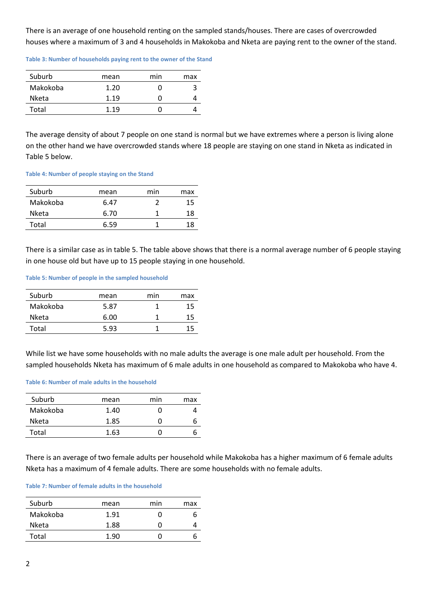There is an average of one household renting on the sampled stands/houses. There are cases of overcrowded houses where a maximum of 3 and 4 households in Makokoba and Nketa are paying rent to the owner of the stand.

**Table 3: Number of households paying rent to the owner of the Stand**

| Suburb   | mean | min | max |
|----------|------|-----|-----|
| Makokoba | 1.20 |     |     |
| Nketa    | 1.19 |     |     |
| Total    | 1.19 |     |     |

The average density of about 7 people on one stand is normal but we have extremes where a person is living alone on the other hand we have overcrowded stands where 18 people are staying on one stand in Nketa as indicated in Table 5 below.

#### **Table 4: Number of people staying on the Stand**

| Suburb   | mean | min | max |
|----------|------|-----|-----|
| Makokoba | 6.47 |     | 15  |
| Nketa    | 6.70 |     | 18  |
| Total    | 6.59 |     | 18  |

There is a similar case as in table 5. The table above shows that there is a normal average number of 6 people staying in one house old but have up to 15 people staying in one household.

### **Table 5: Number of people in the sampled household**

| Suburb       | mean | min | max |
|--------------|------|-----|-----|
| Makokoba     | 5.87 |     | 15  |
| <b>Nketa</b> | 6.00 |     |     |
| Total        | 5.93 |     |     |

While list we have some households with no male adults the average is one male adult per household. From the sampled households Nketa has maximum of 6 male adults in one household as compared to Makokoba who have 4.

### **Table 6: Number of male adults in the household**

| Suburb   | mean | min | max |
|----------|------|-----|-----|
| Makokoba | 1.40 |     |     |
| Nketa    | 1.85 |     |     |
| Total    | 1.63 |     |     |

There is an average of two female adults per household while Makokoba has a higher maximum of 6 female adults Nketa has a maximum of 4 female adults. There are some households with no female adults.

#### **Table 7: Number of female adults in the household**

| Suburb   | mean | min | max |
|----------|------|-----|-----|
| Makokoba | 1.91 |     | n   |
| Nketa    | 1.88 | 0   |     |
| Total    | 1.90 |     |     |
|          |      |     |     |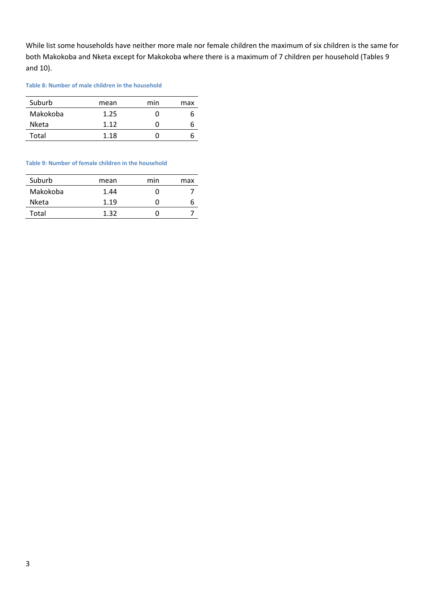While list some households have neither more male nor female children the maximum of six children is the same for both Makokoba and Nketa except for Makokoba where there is a maximum of 7 children per household (Tables 9 and 10).

### **Table 8: Number of male children in the household**

| Suburb       | mean | min | max |
|--------------|------|-----|-----|
| Makokoba     | 1.25 |     |     |
| <b>Nketa</b> | 1.12 |     |     |
| Total        | 1.18 |     |     |

#### **Table 9: Number of female children in the household**

| Suburb       | mean | min | max |
|--------------|------|-----|-----|
| Makokoba     | 1.44 |     |     |
| <b>Nketa</b> | 1.19 |     |     |
| Total        | 1.32 |     |     |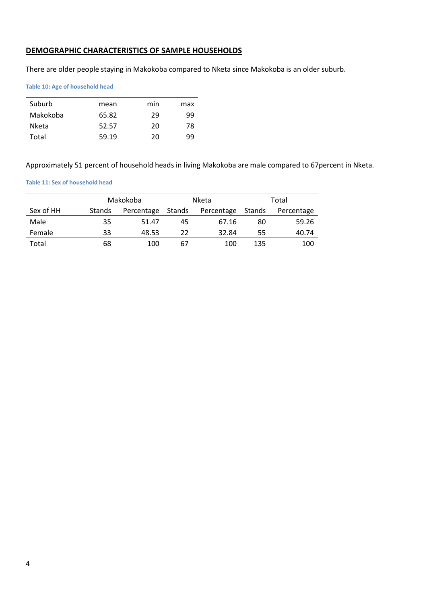## **DEMOGRAPHIC CHARACTERISTICS OF SAMPLE HOUSEHOLDS**

There are older people staying in Makokoba compared to Nketa since Makokoba is an older suburb.

**Table 10: Age of household head**

| Suburb   | mean  | min | max |
|----------|-------|-----|-----|
| Makokoba | 65.82 | 29  | ٩q  |
| Nketa    | 52.57 | 20  | 78  |
| Total    | 59.19 | 20  | qq  |

Approximately 51 percent of household heads in living Makokoba are male compared to 67percent in Nketa.

#### **Table 11: Sex of household head**

|           |               | Makokoba   |        | Nketa      |        | Total      |
|-----------|---------------|------------|--------|------------|--------|------------|
| Sex of HH | <b>Stands</b> | Percentage | Stands | Percentage | Stands | Percentage |
| Male      | 35            | 51.47      | 45     | 67.16      | 80     | 59.26      |
| Female    | 33            | 48.53      | 22     | 32.84      | 55     | 40.74      |
| Total     | 68            | 100        | 67     | 100        | 135    | 100        |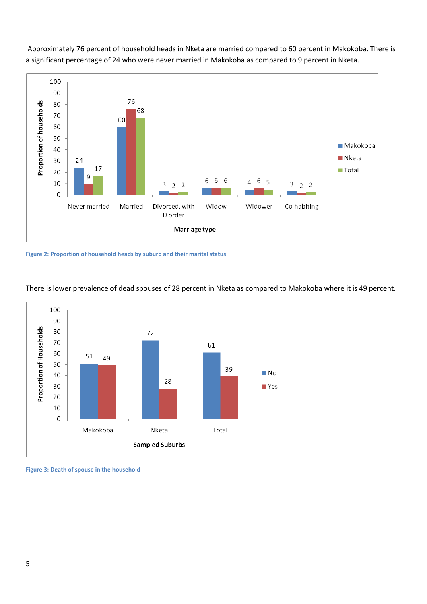

Approximately 76 percent of household heads in Nketa are married compared to 60 percent in Makokoba. There is a significant percentage of 24 who were never married in Makokoba as compared to 9 percent in Nketa.

**Figure 2: Proportion of household heads by suburb and their marital status**



There is lower prevalence of dead spouses of 28 percent in Nketa as compared to Makokoba where it is 49 percent.

**Figure 3: Death of spouse in the household**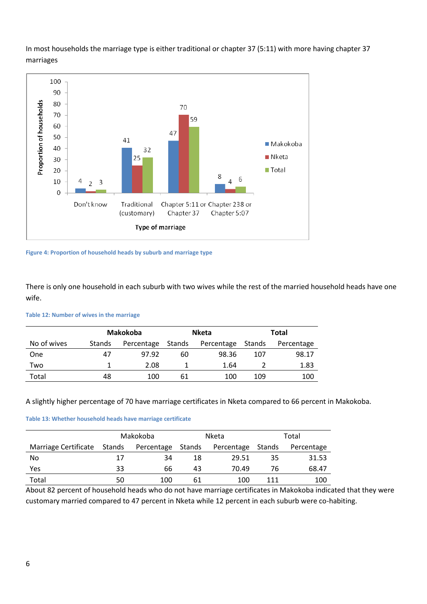

In most households the marriage type is either traditional or chapter 37 (5:11) with more having chapter 37 marriages

**Figure 4: Proportion of household heads by suburb and marriage type**

There is only one household in each suburb with two wives while the rest of the married household heads have one wife.

#### **Table 12: Number of wives in the marriage**

|             |        | Makokoba   |        | <b>Nketa</b> |        | Total      |
|-------------|--------|------------|--------|--------------|--------|------------|
| No of wives | Stands | Percentage | Stands | Percentage   | Stands | Percentage |
| One         | 47     | 97.92      | 60     | 98.36        | 107    | 98.17      |
| Two         |        | 2.08       |        | 1.64         |        | 1.83       |
| Total       | 48     | 100        | 61     | 100          | 109    | 100        |
|             |        |            |        |              |        |            |

## A slightly higher percentage of 70 have marriage certificates in Nketa compared to 66 percent in Makokoba.

#### **Table 13: Whether household heads have marriage certificate**

|                      | Makokoba |            |        | <b>Nketa</b> | Total  |            |
|----------------------|----------|------------|--------|--------------|--------|------------|
| Marriage Certificate | Stands   | Percentage | Stands | Percentage   | Stands | Percentage |
| No                   | 17       | 34         | 18     | 29.51        | 35     | 31.53      |
| Yes                  | 33       | 66         | 43     | 70.49        | 76     | 68.47      |
| Total                | 50       | 100        | 61     | 100          | 111    | 100        |

About 82 percent of household heads who do not have marriage certificates in Makokoba indicated that they were customary married compared to 47 percent in Nketa while 12 percent in each suburb were co-habiting.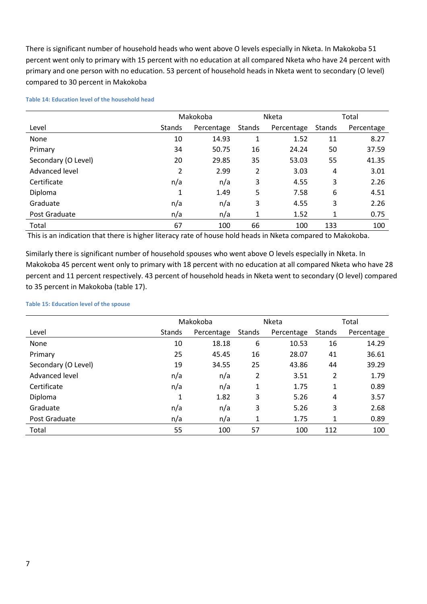There is significant number of household heads who went above O levels especially in Nketa. In Makokoba 51 percent went only to primary with 15 percent with no education at all compared Nketa who have 24 percent with primary and one person with no education. 53 percent of household heads in Nketa went to secondary (O level) compared to 30 percent in Makokoba

|                     | Makokoba |            | Nketa         |            | Total  |            |
|---------------------|----------|------------|---------------|------------|--------|------------|
| Level               | Stands   | Percentage | <b>Stands</b> | Percentage | Stands | Percentage |
| <b>None</b>         | 10       | 14.93      | 1             | 1.52       | 11     | 8.27       |
| Primary             | 34       | 50.75      | 16            | 24.24      | 50     | 37.59      |
| Secondary (O Level) | 20       | 29.85      | 35            | 53.03      | 55     | 41.35      |
| Advanced level      | 2        | 2.99       | 2             | 3.03       | 4      | 3.01       |
| Certificate         | n/a      | n/a        | 3             | 4.55       | 3      | 2.26       |
| Diploma             | 1        | 1.49       | 5             | 7.58       | 6      | 4.51       |
| Graduate            | n/a      | n/a        | 3             | 4.55       | 3      | 2.26       |
| Post Graduate       | n/a      | n/a        | 1             | 1.52       | 1      | 0.75       |
| Total               | 67       | 100        | 66            | 100        | 133    | 100        |

#### **Table 14: Education level of the household head**

This is an indication that there is higher literacy rate of house hold heads in Nketa compared to Makokoba.

Similarly there is significant number of household spouses who went above O levels especially in Nketa. In Makokoba 45 percent went only to primary with 18 percent with no education at all compared Nketa who have 28 percent and 11 percent respectively. 43 percent of household heads in Nketa went to secondary (O level) compared to 35 percent in Makokoba (table 17).

### **Table 15: Education level of the spouse**

|                     |        | Makokoba   |        | Nketa      |              | Total      |  |
|---------------------|--------|------------|--------|------------|--------------|------------|--|
| Level               | Stands | Percentage | Stands | Percentage | Stands       | Percentage |  |
| None                | 10     | 18.18      | 6      | 10.53      | 16           | 14.29      |  |
| Primary             | 25     | 45.45      | 16     | 28.07      | 41           | 36.61      |  |
| Secondary (O Level) | 19     | 34.55      | 25     | 43.86      | 44           | 39.29      |  |
| Advanced level      | n/a    | n/a        | 2      | 3.51       | 2            | 1.79       |  |
| Certificate         | n/a    | n/a        | 1      | 1.75       | 1            | 0.89       |  |
| Diploma             | 1      | 1.82       | 3      | 5.26       | 4            | 3.57       |  |
| Graduate            | n/a    | n/a        | 3      | 5.26       | 3            | 2.68       |  |
| Post Graduate       | n/a    | n/a        | 1      | 1.75       | $\mathbf{1}$ | 0.89       |  |
| Total               | 55     | 100        | 57     | 100        | 112          | 100        |  |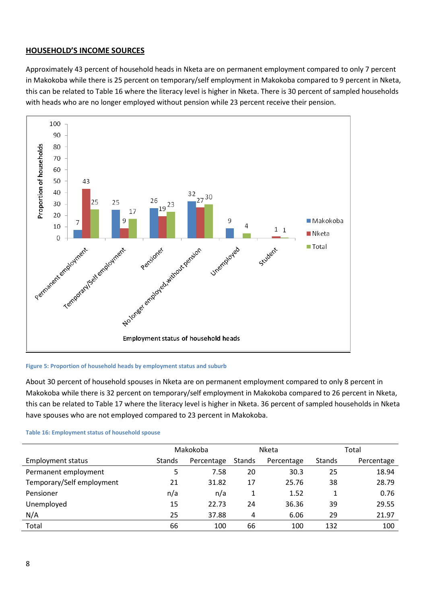## **HOUSEHOLD'S INCOME SOURCES**

Approximately 43 percent of household heads in Nketa are on permanent employment compared to only 7 percent in Makokoba while there is 25 percent on temporary/self employment in Makokoba compared to 9 percent in Nketa, this can be related to Table 16 where the literacy level is higher in Nketa. There is 30 percent of sampled households with heads who are no longer employed without pension while 23 percent receive their pension.



### **Figure 5: Proportion of household heads by employment status and suburb**

About 30 percent of household spouses in Nketa are on permanent employment compared to only 8 percent in Makokoba while there is 32 percent on temporary/self employment in Makokoba compared to 26 percent in Nketa, this can be related to Table 17 where the literacy level is higher in Nketa. 36 percent of sampled households in Nketa have spouses who are not employed compared to 23 percent in Makokoba.

#### **Table 16: Employment status of household spouse**

|                           | Makokoba      |            | Nketa         |            | Total         |            |
|---------------------------|---------------|------------|---------------|------------|---------------|------------|
| <b>Employment status</b>  | <b>Stands</b> | Percentage | <b>Stands</b> | Percentage | <b>Stands</b> | Percentage |
| Permanent employment      | 5             | 7.58       | 20            | 30.3       | 25            | 18.94      |
| Temporary/Self employment | 21            | 31.82      | 17            | 25.76      | 38            | 28.79      |
| Pensioner                 | n/a           | n/a        | 1             | 1.52       |               | 0.76       |
| Unemployed                | 15            | 22.73      | 24            | 36.36      | 39            | 29.55      |
| N/A                       | 25            | 37.88      | 4             | 6.06       | 29            | 21.97      |
| Total                     | 66            | 100        | 66            | 100        | 132           | 100        |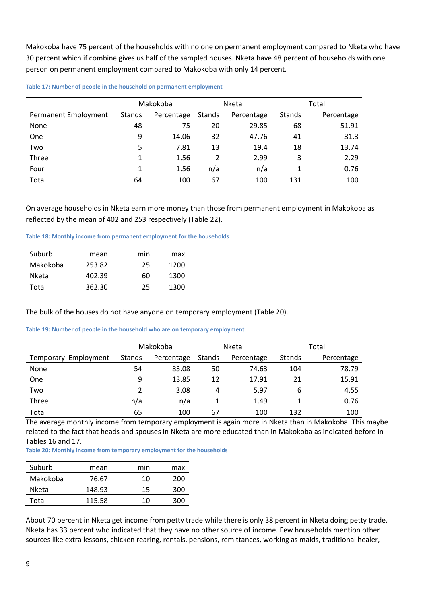Makokoba have 75 percent of the households with no one on permanent employment compared to Nketa who have 30 percent which if combine gives us half of the sampled houses. Nketa have 48 percent of households with one person on permanent employment compared to Makokoba with only 14 percent.

| Table 17: Number of people in the household on permanent employment |  |  |  |  |
|---------------------------------------------------------------------|--|--|--|--|
|---------------------------------------------------------------------|--|--|--|--|

|                      | Makokoba |            |        | Nketa      | Total         |            |
|----------------------|----------|------------|--------|------------|---------------|------------|
| Permanent Employment | Stands   | Percentage | Stands | Percentage | <b>Stands</b> | Percentage |
| None                 | 48       | 75         | 20     | 29.85      | 68            | 51.91      |
| One                  | 9        | 14.06      | 32     | 47.76      | 41            | 31.3       |
| Two                  | 5        | 7.81       | 13     | 19.4       | 18            | 13.74      |
| Three                |          | 1.56       | 2      | 2.99       | 3             | 2.29       |
| Four                 |          | 1.56       | n/a    | n/a        |               | 0.76       |
| Total                | 64       | 100        | 67     | 100        | 131           | 100        |

On average households in Nketa earn more money than those from permanent employment in Makokoba as reflected by the mean of 402 and 253 respectively (Table 22).

**Table 18: Monthly income from permanent employment for the households**

| Suburb   | mean   | min | max  |
|----------|--------|-----|------|
| Makokoba | 253.82 | 25  | 1200 |
| Nketa    | 402.39 | 60  | 1300 |
| Total    | 362.30 | 25  | 1300 |

The bulk of the houses do not have anyone on temporary employment (Table 20).

### **Table 19: Number of people in the household who are on temporary employment**

|                      | Makokoba |            |        | Nketa      | Total  |            |
|----------------------|----------|------------|--------|------------|--------|------------|
| Temporary Employment | Stands   | Percentage | Stands | Percentage | Stands | Percentage |
| None                 | 54       | 83.08      | 50     | 74.63      | 104    | 78.79      |
| One                  | 9        | 13.85      | 12     | 17.91      | 21     | 15.91      |
| Two                  |          | 3.08       | 4      | 5.97       | 6      | 4.55       |
| Three                | n/a      | n/a        |        | 1.49       |        | 0.76       |
| Total                | 65       | 100        | 67     | 100        | 132    | 100        |

The average monthly income from temporary employment is again more in Nketa than in Makokoba. This maybe related to the fact that heads and spouses in Nketa are more educated than in Makokoba as indicated before in Tables 16 and 17.

**Table 20: Monthly income from temporary employment for the households**

| Suburb   | mean   | min | max |
|----------|--------|-----|-----|
| Makokoba | 76.67  | 10  | 200 |
| Nketa    | 148.93 | 15  | 300 |
| Total    | 115.58 | 10  | 300 |

About 70 percent in Nketa get income from petty trade while there is only 38 percent in Nketa doing petty trade. Nketa has 33 percent who indicated that they have no other source of income. Few households mention other sources like extra lessons, chicken rearing, rentals, pensions, remittances, working as maids, traditional healer,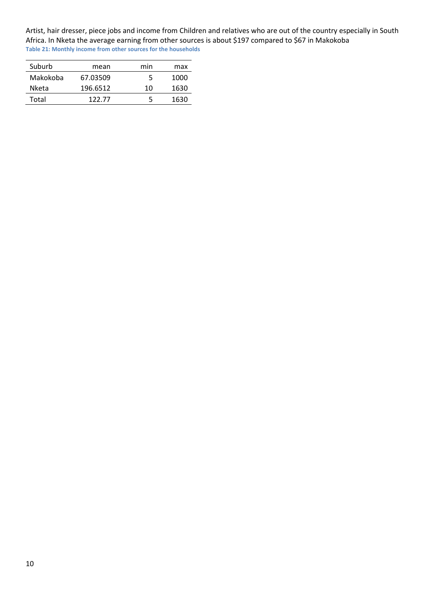Artist, hair dresser, piece jobs and income from Children and relatives who are out of the country especially in South Africa. In Nketa the average earning from other sources is about \$197 compared to \$67 in Makokoba **Table 21: Monthly income from other sources for the households**

| Suburb   | mean     | min | max  |
|----------|----------|-----|------|
| Makokoba | 67.03509 | 5   | 1000 |
| Nketa    | 196.6512 | 10  | 1630 |
| Total    | 122.77   | 5   | 1630 |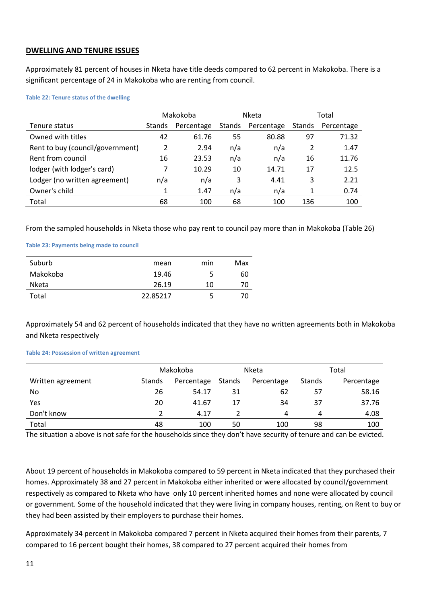## **DWELLING AND TENURE ISSUES**

Approximately 81 percent of houses in Nketa have title deeds compared to 62 percent in Makokoba. There is a significant percentage of 24 in Makokoba who are renting from council.

### **Table 22: Tenure status of the dwelling**

|                                  | Makokoba      |            | <b>Nketa</b>  |            | Total         |            |
|----------------------------------|---------------|------------|---------------|------------|---------------|------------|
| Tenure status                    | <b>Stands</b> | Percentage | <b>Stands</b> | Percentage | <b>Stands</b> | Percentage |
| Owned with titles                | 42            | 61.76      | 55            | 80.88      | 97            | 71.32      |
| Rent to buy (council/government) | 2             | 2.94       | n/a           | n/a        | 2             | 1.47       |
| Rent from council                | 16            | 23.53      | n/a           | n/a        | 16            | 11.76      |
| lodger (with lodger's card)      |               | 10.29      | 10            | 14.71      | 17            | 12.5       |
| Lodger (no written agreement)    | n/a           | n/a        | 3             | 4.41       | 3             | 2.21       |
| Owner's child                    | 1             | 1.47       | n/a           | n/a        | 1             | 0.74       |
| Total                            | 68            | 100        | 68            | 100        | 136           | 100        |

From the sampled households in Nketa those who pay rent to council pay more than in Makokoba (Table 26)

### **Table 23: Payments being made to council**

| Suburb       | mean     | min | Max |
|--------------|----------|-----|-----|
| Makokoba     | 19.46    |     | 60  |
| <b>Nketa</b> | 26.19    | 10  | 70  |
| Total        | 22.85217 |     | 70  |

Approximately 54 and 62 percent of households indicated that they have no written agreements both in Makokoba and Nketa respectively

### **Table 24: Possession of written agreement**

|                   | Makokoba |            | Nketa  |            | Total  |            |
|-------------------|----------|------------|--------|------------|--------|------------|
| Written agreement | Stands   | Percentage | Stands | Percentage | Stands | Percentage |
| No                | 26       | 54.17      | 31     | 62         | 57     | 58.16      |
| Yes               | 20       | 41.67      | 17     | 34         | 37     | 37.76      |
| Don't know        |          | 4.17       |        | 4          |        | 4.08       |
| Total             | 48       | 100        | 50     | 100        | 98     | 100        |

The situation a above is not safe for the households since they don't have security of tenure and can be evicted.

About 19 percent of households in Makokoba compared to 59 percent in Nketa indicated that they purchased their homes. Approximately 38 and 27 percent in Makokoba either inherited or were allocated by council/government respectively as compared to Nketa who have only 10 percent inherited homes and none were allocated by council or government. Some of the household indicated that they were living in company houses, renting, on Rent to buy or they had been assisted by their employers to purchase their homes.

Approximately 34 percent in Makokoba compared 7 percent in Nketa acquired their homes from their parents, 7 compared to 16 percent bought their homes, 38 compared to 27 percent acquired their homes from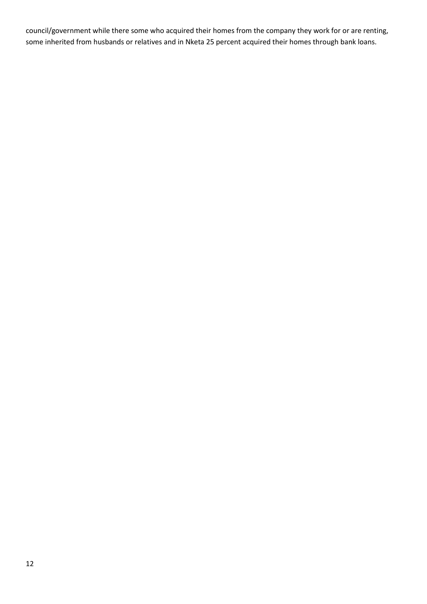council/government while there some who acquired their homes from the company they work for or are renting, some inherited from husbands or relatives and in Nketa 25 percent acquired their homes through bank loans.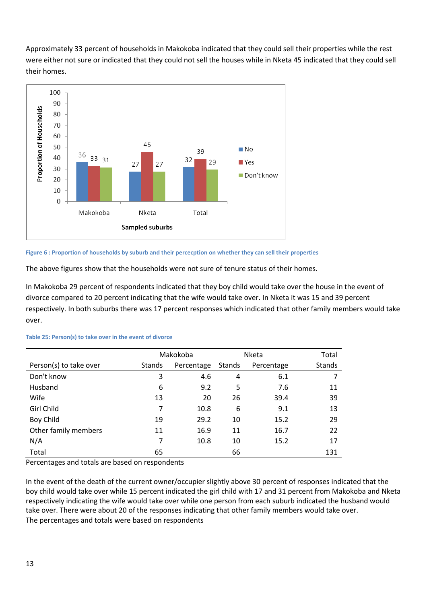Approximately 33 percent of households in Makokoba indicated that they could sell their properties while the rest were either not sure or indicated that they could not sell the houses while in Nketa 45 indicated that they could sell their homes.



### **Figure 6 : Proportion of households by suburb and their percecption on whether they can sell their properties**

The above figures show that the households were not sure of tenure status of their homes.

In Makokoba 29 percent of respondents indicated that they boy child would take over the house in the event of divorce compared to 20 percent indicating that the wife would take over. In Nketa it was 15 and 39 percent respectively. In both suburbs there was 17 percent responses which indicated that other family members would take over.

|                        |               | Makokoba   |        | Nketa      | Total         |
|------------------------|---------------|------------|--------|------------|---------------|
| Person(s) to take over | <b>Stands</b> | Percentage | Stands | Percentage | <b>Stands</b> |
| Don't know             | 3             | 4.6        | 4      | 6.1        | 7             |
| Husband                | 6             | 9.2        | 5      | 7.6        | 11            |
| Wife                   | 13            | 20         | 26     | 39.4       | 39            |
| Girl Child             | 7             | 10.8       | 6      | 9.1        | 13            |
| Boy Child              | 19            | 29.2       | 10     | 15.2       | 29            |
| Other family members   | 11            | 16.9       | 11     | 16.7       | 22            |
| N/A                    | 7             | 10.8       | 10     | 15.2       | 17            |
| Total                  | 65            |            | 66     |            | 131           |

### **Table 25: Person(s) to take over in the event of divorce**

Percentages and totals are based on respondents

In the event of the death of the current owner/occupier slightly above 30 percent of responses indicated that the boy child would take over while 15 percent indicated the girl child with 17 and 31 percent from Makokoba and Nketa respectively indicating the wife would take over while one person from each suburb indicated the husband would take over. There were about 20 of the responses indicating that other family members would take over. The percentages and totals were based on respondents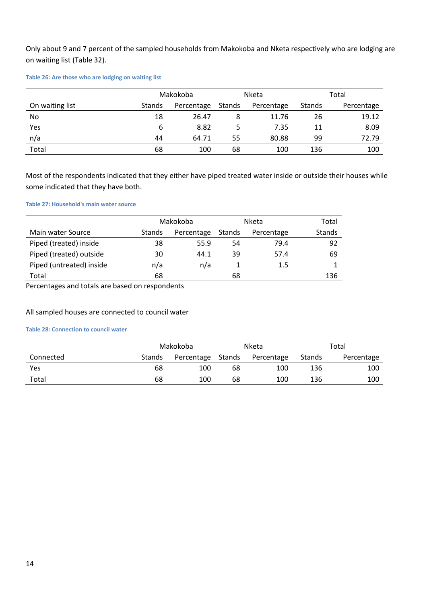Only about 9 and 7 percent of the sampled households from Makokoba and Nketa respectively who are lodging are on waiting list (Table 32).

### **Table 26: Are those who are lodging on waiting list**

|                 |        | Makokoba   |        | Nketa      |        | Total      |
|-----------------|--------|------------|--------|------------|--------|------------|
| On waiting list | Stands | Percentage | Stands | Percentage | Stands | Percentage |
| No              | 18     | 26.47      | 8      | 11.76      | 26     | 19.12      |
| Yes             | 6      | 8.82       |        | 7.35       | 11     | 8.09       |
| n/a             | 44     | 64.71      | 55     | 80.88      | 99     | 72.79      |
| Total           | 68     | 100        | 68     | 100        | 136    | 100        |

Most of the respondents indicated that they either have piped treated water inside or outside their houses while some indicated that they have both.

### **Table 27: Household's main water source**

|                          |        | Makokoba   |        | Nketa      | Total  |
|--------------------------|--------|------------|--------|------------|--------|
| Main water Source        | Stands | Percentage | Stands | Percentage | Stands |
| Piped (treated) inside   | 38     | 55.9       | 54     | 79.4       | 92     |
| Piped (treated) outside  | 30     | 44.1       | 39     | 57.4       | 69     |
| Piped (untreated) inside | n/a    | n/a        |        | 1.5        |        |
| Total                    | 68     |            | 68     |            | 136    |

Percentages and totals are based on respondents

## All sampled houses are connected to council water

## **Table 28: Connection to council water**

|           |        | Makokoba   |        | <b>Nketa</b> | Total  |            |
|-----------|--------|------------|--------|--------------|--------|------------|
| Connected | Stands | Percentage | Stands | Percentage   | Stands | Percentage |
| Yes       | 68     | 100        | 68     | 100          | 136    | 100        |
| Total     | 68     | 100        | 68     | 100          | 136    | 100        |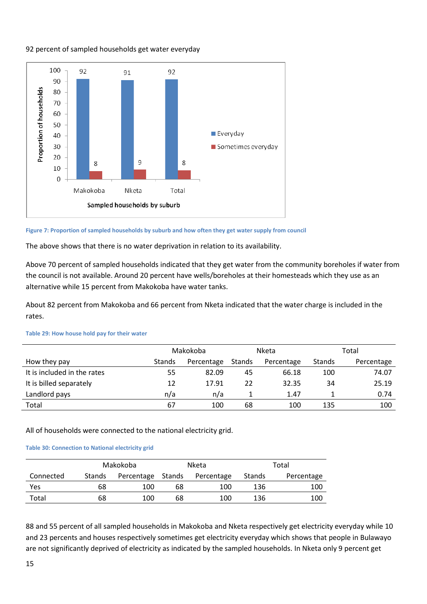## 92 percent of sampled households get water everyday



#### **Figure 7: Proportion of sampled households by suburb and how often they get water supply from council**

The above shows that there is no water deprivation in relation to its availability.

Above 70 percent of sampled households indicated that they get water from the community boreholes if water from the council is not available. Around 20 percent have wells/boreholes at their homesteads which they use as an alternative while 15 percent from Makokoba have water tanks.

About 82 percent from Makokoba and 66 percent from Nketa indicated that the water charge is included in the rates.

|                             |               | Makokoba   |        | Nketa      |        | Total      |
|-----------------------------|---------------|------------|--------|------------|--------|------------|
| How they pay                | <b>Stands</b> | Percentage | Stands | Percentage | Stands | Percentage |
| It is included in the rates | 55            | 82.09      | 45     | 66.18      | 100    | 74.07      |
| It is billed separately     | 12            | 17.91      | 22     | 32.35      | 34     | 25.19      |
| Landlord pays               | n/a           | n/a        |        | 1.47       |        | 0.74       |
| Total                       | 67            | 100        | 68     | 100        | 135    | 100        |

#### **Table 29: How house hold pay for their water**

All of households were connected to the national electricity grid.

### **Table 30: Connection to National electricity grid**

|           |        | Makokoba          | Nketa |            |        | Total      |
|-----------|--------|-------------------|-------|------------|--------|------------|
| Connected | Stands | Percentage Stands |       | Percentage | Stands | Percentage |
| Yes       | 68     | 100               | 68    | 100        | 136    | 100        |
| Total     | 68     | 100               | 68    | 100        | 136    | 100        |

88 and 55 percent of all sampled households in Makokoba and Nketa respectively get electricity everyday while 10 and 23 percents and houses respectively sometimes get electricity everyday which shows that people in Bulawayo are not significantly deprived of electricity as indicated by the sampled households. In Nketa only 9 percent get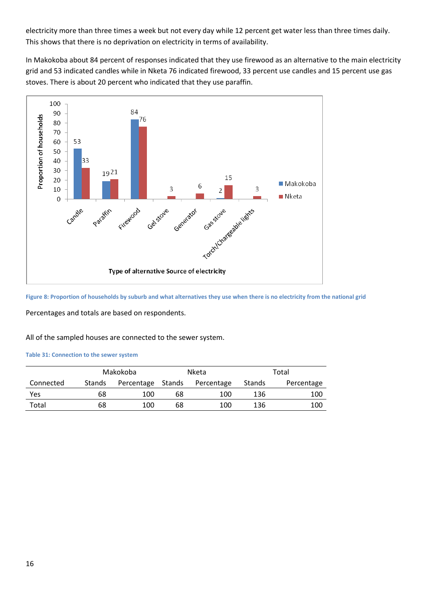electricity more than three times a week but not every day while 12 percent get water less than three times daily. This shows that there is no deprivation on electricity in terms of availability.

In Makokoba about 84 percent of responses indicated that they use firewood as an alternative to the main electricity grid and 53 indicated candles while in Nketa 76 indicated firewood, 33 percent use candles and 15 percent use gas stoves. There is about 20 percent who indicated that they use paraffin.



**Figure 8: Proportion of households by suburb and what alternatives they use when there is no electricity from the national grid**

Percentages and totals are based on respondents.

All of the sampled houses are connected to the sewer system.

#### **Table 31: Connection to the sewer system**

|           |               | Makokoba          |    | Nketa      |        | Total      |
|-----------|---------------|-------------------|----|------------|--------|------------|
| Connected | <b>Stands</b> | Percentage Stands |    | Percentage | Stands | Percentage |
| Yes       | 68            | 100               | 68 | 100        | 136    | 100        |
| Total     | 68            | 100               | 68 | 100        | 136    | 100        |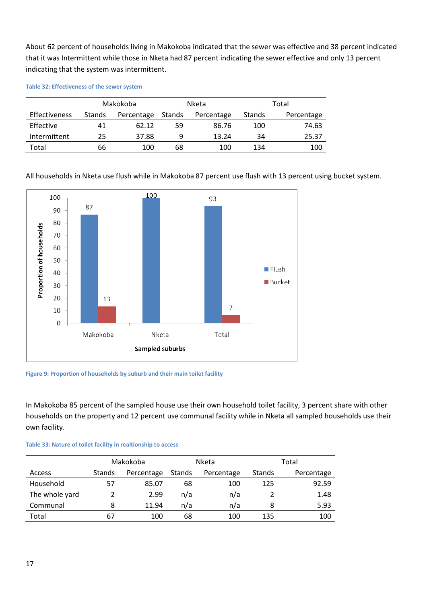About 62 percent of households living in Makokoba indicated that the sewer was effective and 38 percent indicated that it was Intermittent while those in Nketa had 87 percent indicating the sewer effective and only 13 percent indicating that the system was intermittent.

**Table 32: Effectiveness of the sewer system**

|               |        | Makokoba   |        | <b>Nketa</b> | Total  |            |
|---------------|--------|------------|--------|--------------|--------|------------|
| Effectiveness | Stands | Percentage | Stands | Percentage   | Stands | Percentage |
| Effective     | 41     | 62.12      | 59     | 86.76        | 100    | 74.63      |
| Intermittent  | 25     | 37.88      | q      | 13.24        | 34     | 25.37      |
| Total         | 66     | 100        | 68     | 100          | 134    | 100        |

All households in Nketa use flush while in Makokoba 87 percent use flush with 13 percent using bucket system.



**Figure 9: Proportion of households by suburb and their main toilet facility**

In Makokoba 85 percent of the sampled house use their own household toilet facility, 3 percent share with other households on the property and 12 percent use communal facility while in Nketa all sampled households use their own facility.

| Table 33: Nature of toilet facility in realtionship to access |  |
|---------------------------------------------------------------|--|
|---------------------------------------------------------------|--|

|                |               | Makokoba   |        | Nketa      |        | Total      |
|----------------|---------------|------------|--------|------------|--------|------------|
| Access         | <b>Stands</b> | Percentage | Stands | Percentage | Stands | Percentage |
| Household      | 57            | 85.07      | 68     | 100        | 125    | 92.59      |
| The whole yard |               | 2.99       | n/a    | n/a        |        | 1.48       |
| Communal       | 8             | 11.94      | n/a    | n/a        | 8      | 5.93       |
| Total          | 67            | 100        | 68     | 100        | 135    | 100        |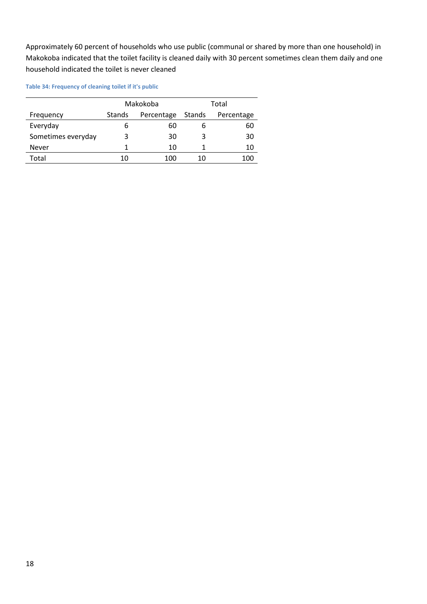Approximately 60 percent of households who use public (communal or shared by more than one household) in Makokoba indicated that the toilet facility is cleaned daily with 30 percent sometimes clean them daily and one household indicated the toilet is never cleaned

### **Table 34: Frequency of cleaning toilet if it's public**

|                    |               | Makokoba   | Total  |            |  |  |
|--------------------|---------------|------------|--------|------------|--|--|
| Frequency          | <b>Stands</b> | Percentage | Stands | Percentage |  |  |
| Everyday           | ь             | 60         |        | 60         |  |  |
| Sometimes everyday | 3             | 30         |        | 30         |  |  |
| Never              |               | 10         |        | 10         |  |  |
| Total              | 10            | 100        | 10     | 100        |  |  |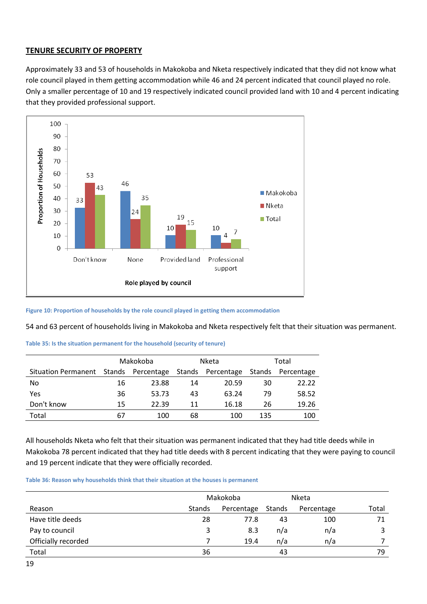## **TENURE SECURITY OF PROPERTY**

Approximately 33 and 53 of households in Makokoba and Nketa respectively indicated that they did not know what role council played in them getting accommodation while 46 and 24 percent indicated that council played no role. Only a smaller percentage of 10 and 19 respectively indicated council provided land with 10 and 4 percent indicating that they provided professional support.



**Figure 10: Proportion of households by the role council played in getting them accommodation**

54 and 63 percent of households living in Makokoba and Nketa respectively felt that their situation was permanent.

| Table 35: Is the situation permanent for the household (security of tenure) |  |  |  |  |  |  |  |
|-----------------------------------------------------------------------------|--|--|--|--|--|--|--|
|-----------------------------------------------------------------------------|--|--|--|--|--|--|--|

|                            | Makokoba |                   |        | Nketa      | Total  |            |  |
|----------------------------|----------|-------------------|--------|------------|--------|------------|--|
| <b>Situation Permanent</b> |          | Stands Percentage | Stands | Percentage | Stands | Percentage |  |
| No                         | 16       | 23.88             | 14     | 20.59      | 30     | 22.22      |  |
| Yes                        | 36       | 53.73             | 43     | 63.24      | 79     | 58.52      |  |
| Don't know                 | 15       | 22.39             | 11     | 16.18      | 26     | 19.26      |  |
| Total                      | 67       | 100               | 68     | 100        | 135    | 100        |  |

All households Nketa who felt that their situation was permanent indicated that they had title deeds while in Makokoba 78 percent indicated that they had title deeds with 8 percent indicating that they were paying to council and 19 percent indicate that they were officially recorded.

**Table 36: Reason why households think that their situation at the houses is permanent**

|                     |        | Makokoba   |        | Nketa      |       |  |
|---------------------|--------|------------|--------|------------|-------|--|
| Reason              | Stands | Percentage | Stands | Percentage | Total |  |
| Have title deeds    | 28     | 77.8       | 43     | 100        | 71    |  |
| Pay to council      | 3      | 8.3        | n/a    | n/a        |       |  |
| Officially recorded |        | 19.4       | n/a    | n/a        |       |  |
| Total               | 36     |            | 43     |            | 79    |  |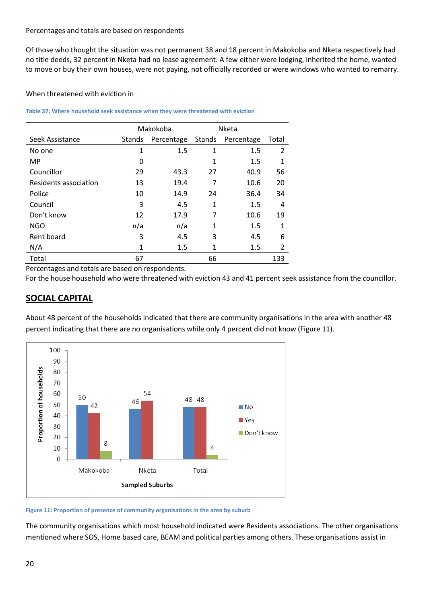## Percentages and totals are based on respondents

Of those who thought the situation was not permanent 38 and 18 percent in Makokoba and Nketa respectively had no title deeds, 32 percent in Nketa had no lease agreement. A few either were lodging, inherited the home, wanted to move or buy their own houses, were not paying, not officially recorded or were windows who wanted to remarry.

## When threatened with eviction in

## **Table 37: Where household seek assistance when they were threatened with eviction**

|                       | Makokoba     |            | Nketa  |            |                |
|-----------------------|--------------|------------|--------|------------|----------------|
| Seek Assistance       | Stands       | Percentage | Stands | Percentage | Total          |
| No one                | $\mathbf{1}$ | 1.5        | 1      | 1.5        | $\overline{2}$ |
| <b>MP</b>             | 0            |            | 1      | 1.5        | 1              |
| Councillor            | 29           | 43.3       | 27     | 40.9       | 56             |
| Residents association | 13           | 19.4       | 7      | 10.6       | 20             |
| Police                | 10           | 14.9       | 24     | 36.4       | 34             |
| Council               | 3            | 4.5        | 1      | 1.5        | 4              |
| Don't know            | 12           | 17.9       | 7      | 10.6       | 19             |
| <b>NGO</b>            | n/a          | n/a        | 1      | 1.5        | 1              |
| Rent board            | 3            | 4.5        | 3      | 4.5        | 6              |
| N/A                   | 1            | 1.5        | 1      | 1.5        | 2              |
| Total                 | 67           |            | 66     |            | 133            |

Percentages and totals are based on respondents.

For the house household who were threatened with eviction 43 and 41 percent seek assistance from the councillor.

# **SOCIAL CAPITAL**

About 48 percent of the households indicated that there are community organisations in the area with another 48 percent indicating that there are no organisations while only 4 percent did not know (Figure 11).



### **Figure 11: Proportion of presence of community organisations in the area by suburb**

The community organisations which most household indicated were Residents associations. The other organisations mentioned where SOS, Home based care, BEAM and political parties among others. These organisations assist in